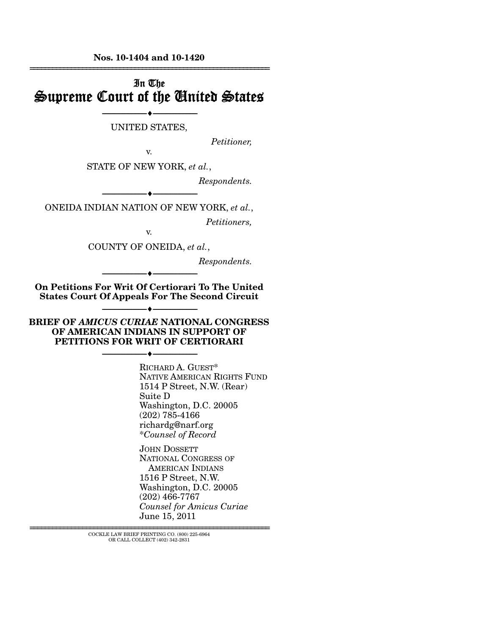**Nos. 10-1404 and 10-1420**  ================================================================

## In The Supreme Court of the United States

--------------------------------- ♦ --------------------------------- UNITED STATES,

*Petitioner,* 

v. STATE OF NEW YORK, *et al.*,

*Respondents.* 

--------------------------------- ♦ --------------------------------- ONEIDA INDIAN NATION OF NEW YORK, *et al.*,

*Petitioners,* 

v.

COUNTY OF ONEIDA, *et al.*,

*Respondents.* 

**On Petitions For Writ Of Certiorari To The United States Court Of Appeals For The Second Circuit** 

--------------------------------- ♦ ---------------------------------

**BRIEF OF** *AMICUS CURIAE* **NATIONAL CONGRESS OF AMERICAN INDIANS IN SUPPORT OF PETITIONS FOR WRIT OF CERTIORARI** 

--------------------------------- ♦ ---------------------------------

--------------------------------- ♦ ---------------------------------

RICHARD A. GUEST\* NATIVE AMERICAN RIGHTS FUND 1514 P Street, N.W. (Rear) Suite D Washington, D.C. 20005 (202) 785-4166 richardg@narf.org \**Counsel of Record*

JOHN DOSSETT NATIONAL CONGRESS OF AMERICAN INDIANS 1516 P Street, N.W. Washington, D.C. 20005 (202) 466-7767 *Counsel for Amicus Curiae* June 15, 2011

================================================================ COCKLE LAW BRIEF PRINTING CO. (800) 225-6964 OR CALL COLLECT (402) 342-2831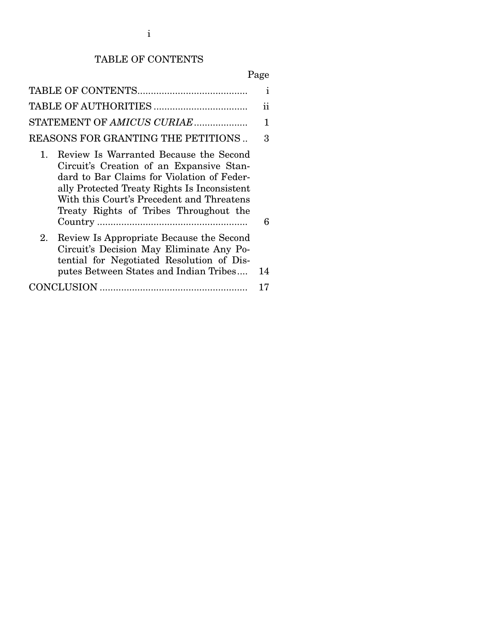# TABLE OF CONTENTS

Page

|                                                                                                                                                                                                                                                                                         | ı             |
|-----------------------------------------------------------------------------------------------------------------------------------------------------------------------------------------------------------------------------------------------------------------------------------------|---------------|
|                                                                                                                                                                                                                                                                                         | 11            |
| STATEMENT OF AMICUS CURIAE                                                                                                                                                                                                                                                              | 1             |
| REASONS FOR GRANTING THE PETITIONS                                                                                                                                                                                                                                                      | $\mathcal{S}$ |
| Review Is Warranted Because the Second<br>$1_{\cdots}$<br>Circuit's Creation of an Expansive Stan-<br>dard to Bar Claims for Violation of Feder-<br>ally Protected Treaty Rights Is Inconsistent<br>With this Court's Precedent and Threatens<br>Treaty Rights of Tribes Throughout the | 6             |
| Review Is Appropriate Because the Second<br>2.<br>Circuit's Decision May Eliminate Any Po-<br>tential for Negotiated Resolution of Dis-<br>putes Between States and Indian Tribes                                                                                                       | 14            |
|                                                                                                                                                                                                                                                                                         | 17            |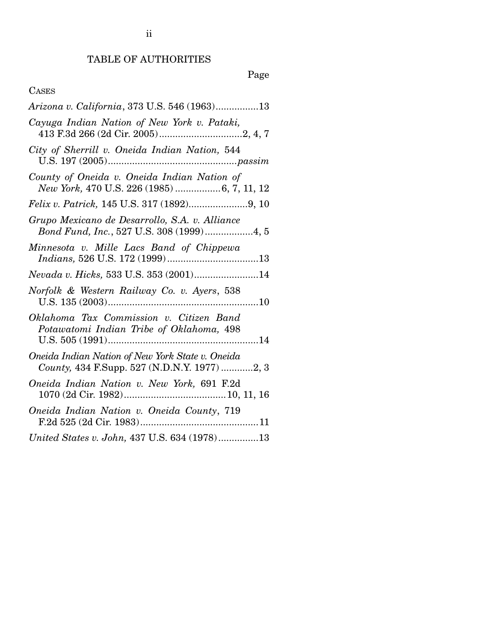# TABLE OF AUTHORITIES

# Page

## CASES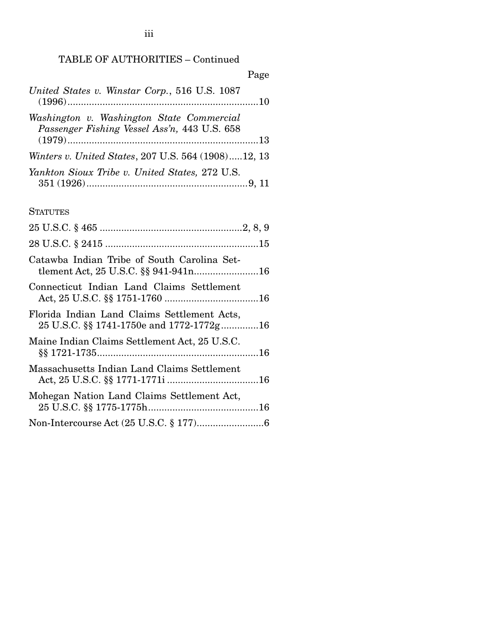### TABLE OF AUTHORITIES – Continued

| Page                                                                                      |  |
|-------------------------------------------------------------------------------------------|--|
| United States v. Winstar Corp., 516 U.S. 1087                                             |  |
| Washington v. Washington State Commercial<br>Passenger Fishing Vessel Ass'n, 443 U.S. 658 |  |
| Winters v. United States, 207 U.S. 564 (1908)12, 13                                       |  |
| Yankton Sioux Tribe v. United States, 272 U.S.                                            |  |

### **STATUTES**

| Catawba Indian Tribe of South Carolina Set-<br>tlement Act, 25 U.S.C. §§ 941-941n16     |
|-----------------------------------------------------------------------------------------|
| Connecticut Indian Land Claims Settlement                                               |
| Florida Indian Land Claims Settlement Acts,<br>25 U.S.C. §§ 1741-1750e and 1772-1772g16 |
| Maine Indian Claims Settlement Act, 25 U.S.C.                                           |
| Massachusetts Indian Land Claims Settlement                                             |
| Mohegan Nation Land Claims Settlement Act,                                              |
|                                                                                         |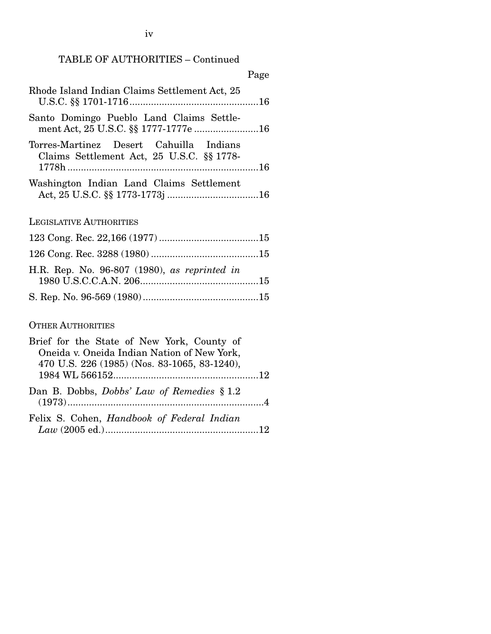TABLE OF AUTHORITIES – Continued

|                                                                                      | Page |
|--------------------------------------------------------------------------------------|------|
| Rhode Island Indian Claims Settlement Act, 25                                        |      |
| Santo Domingo Pueblo Land Claims Settle-<br>ment Act, 25 U.S.C. §§ 1777-1777e 16     |      |
| Torres-Martinez Desert Cahuilla Indians<br>Claims Settlement Act, 25 U.S.C. §§ 1778- |      |
| Washington Indian Land Claims Settlement                                             |      |

LEGISLATIVE AUTHORITIES

| H.R. Rep. No. 96-807 (1980), as reprinted in |  |
|----------------------------------------------|--|
|                                              |  |

### OTHER AUTHORITIES

| Brief for the State of New York, County of   |  |
|----------------------------------------------|--|
| Oneida v. Oneida Indian Nation of New York,  |  |
| 470 U.S. 226 (1985) (Nos. 83-1065, 83-1240), |  |
|                                              |  |
| Dan B. Dobbs, Dobbs' Law of Remedies § 1.2   |  |
| Felix S. Cohen, Handbook of Federal Indian   |  |
|                                              |  |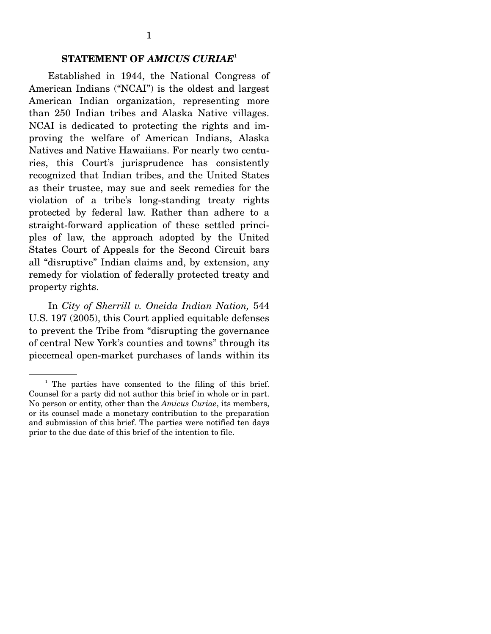#### **STATEMENT OF** *AMICUS CURIAE*<sup>1</sup>

 Established in 1944, the National Congress of American Indians ("NCAI") is the oldest and largest American Indian organization, representing more than 250 Indian tribes and Alaska Native villages. NCAI is dedicated to protecting the rights and improving the welfare of American Indians, Alaska Natives and Native Hawaiians. For nearly two centuries, this Court's jurisprudence has consistently recognized that Indian tribes, and the United States as their trustee, may sue and seek remedies for the violation of a tribe's long-standing treaty rights protected by federal law. Rather than adhere to a straight-forward application of these settled principles of law, the approach adopted by the United States Court of Appeals for the Second Circuit bars all "disruptive" Indian claims and, by extension, any remedy for violation of federally protected treaty and property rights.

 In *City of Sherrill v. Oneida Indian Nation,* 544 U.S. 197 (2005), this Court applied equitable defenses to prevent the Tribe from "disrupting the governance of central New York's counties and towns" through its piecemeal open-market purchases of lands within its

<sup>&</sup>lt;sup>1</sup> The parties have consented to the filing of this brief. Counsel for a party did not author this brief in whole or in part. No person or entity, other than the *Amicus Curiae*, its members, or its counsel made a monetary contribution to the preparation and submission of this brief. The parties were notified ten days prior to the due date of this brief of the intention to file.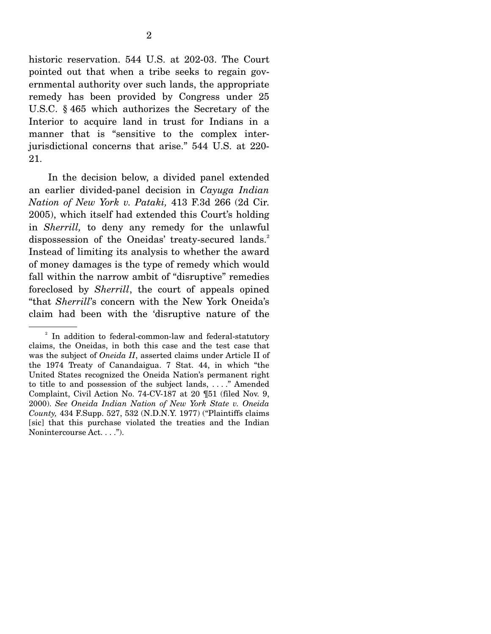historic reservation. 544 U.S. at 202-03. The Court pointed out that when a tribe seeks to regain governmental authority over such lands, the appropriate remedy has been provided by Congress under 25 U.S.C. § 465 which authorizes the Secretary of the Interior to acquire land in trust for Indians in a manner that is "sensitive to the complex interjurisdictional concerns that arise." 544 U.S. at 220- 21.

 In the decision below, a divided panel extended an earlier divided-panel decision in *Cayuga Indian Nation of New York v. Pataki,* 413 F.3d 266 (2d Cir. 2005), which itself had extended this Court's holding in *Sherrill,* to deny any remedy for the unlawful dispossession of the Oneidas' treaty-secured lands.<sup>2</sup> Instead of limiting its analysis to whether the award of money damages is the type of remedy which would fall within the narrow ambit of "disruptive" remedies foreclosed by *Sherrill*, the court of appeals opined "that *Sherrill*'s concern with the New York Oneida's claim had been with the 'disruptive nature of the

<sup>&</sup>lt;sup>2</sup> In addition to federal-common-law and federal-statutory claims, the Oneidas, in both this case and the test case that was the subject of *Oneida II*, asserted claims under Article II of the 1974 Treaty of Canandaigua. 7 Stat. 44, in which "the United States recognized the Oneida Nation's permanent right to title to and possession of the subject lands, . . . ." Amended Complaint, Civil Action No. 74-CV-187 at 20 ¶51 (filed Nov. 9, 2000). *See Oneida Indian Nation of New York State v. Oneida County,* 434 F.Supp. 527, 532 (N.D.N.Y. 1977) ("Plaintiffs claims [sic] that this purchase violated the treaties and the Indian Nonintercourse Act. . . .").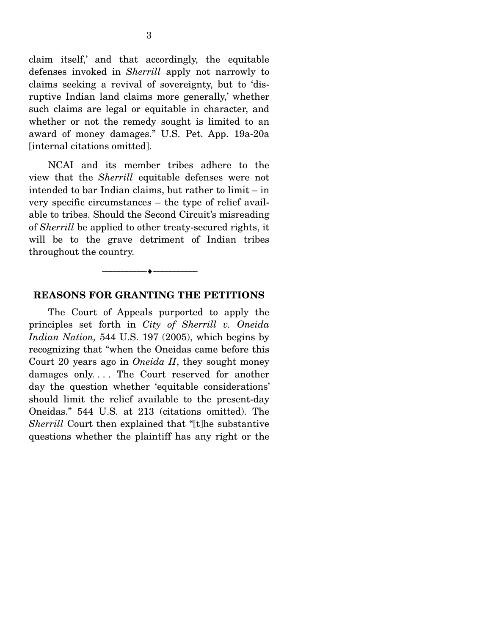claim itself,' and that accordingly, the equitable defenses invoked in *Sherrill* apply not narrowly to claims seeking a revival of sovereignty, but to 'disruptive Indian land claims more generally,' whether such claims are legal or equitable in character, and whether or not the remedy sought is limited to an award of money damages." U.S. Pet. App. 19a-20a [internal citations omitted].

 NCAI and its member tribes adhere to the view that the *Sherrill* equitable defenses were not intended to bar Indian claims, but rather to limit – in very specific circumstances – the type of relief available to tribes. Should the Second Circuit's misreading of *Sherrill* be applied to other treaty-secured rights, it will be to the grave detriment of Indian tribes throughout the country.



#### **REASONS FOR GRANTING THE PETITIONS**

 The Court of Appeals purported to apply the principles set forth in *City of Sherrill v. Oneida Indian Nation,* 544 U.S. 197 (2005), which begins by recognizing that "when the Oneidas came before this Court 20 years ago in *Oneida II*, they sought money damages only.... The Court reserved for another day the question whether 'equitable considerations' should limit the relief available to the present-day Oneidas." 544 U.S. at 213 (citations omitted). The *Sherrill* Court then explained that "[t]he substantive questions whether the plaintiff has any right or the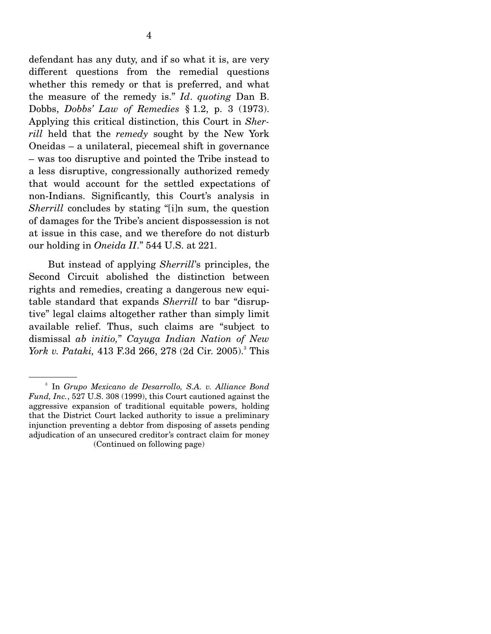defendant has any duty, and if so what it is, are very different questions from the remedial questions whether this remedy or that is preferred, and what the measure of the remedy is." *Id*. *quoting* Dan B. Dobbs, *Dobbs' Law of Remedies* § 1.2, p. 3 (1973). Applying this critical distinction, this Court in *Sherrill* held that the *remedy* sought by the New York Oneidas – a unilateral, piecemeal shift in governance – was too disruptive and pointed the Tribe instead to a less disruptive, congressionally authorized remedy that would account for the settled expectations of non-Indians. Significantly, this Court's analysis in *Sherrill* concludes by stating "[i]n sum, the question of damages for the Tribe's ancient dispossession is not at issue in this case, and we therefore do not disturb our holding in *Oneida II*." 544 U.S. at 221.

 But instead of applying *Sherrill*'s principles, the Second Circuit abolished the distinction between rights and remedies, creating a dangerous new equitable standard that expands *Sherrill* to bar "disruptive" legal claims altogether rather than simply limit available relief. Thus, such claims are "subject to dismissal *ab initio,*" *Cayuga Indian Nation of New York v. Pataki,* 413 F.3d 266, 278 (2d Cir. 2005).<sup>3</sup> This

<sup>3</sup> In *Grupo Mexicano de Desarrollo, S.A. v. Alliance Bond Fund, Inc.*, 527 U.S. 308 (1999), this Court cautioned against the aggressive expansion of traditional equitable powers, holding that the District Court lacked authority to issue a preliminary injunction preventing a debtor from disposing of assets pending adjudication of an unsecured creditor's contract claim for money (Continued on following page)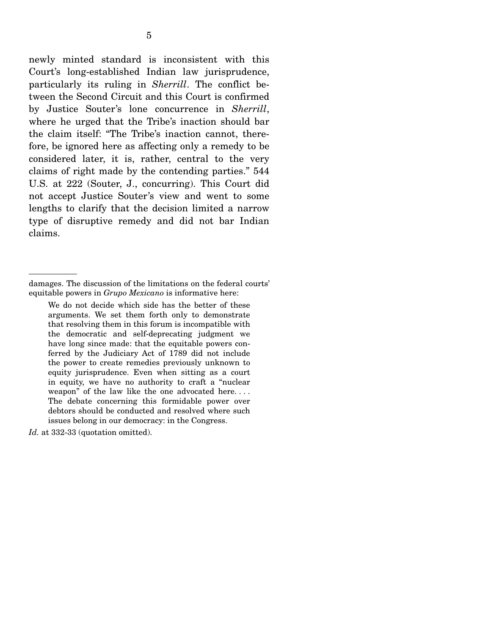newly minted standard is inconsistent with this Court's long-established Indian law jurisprudence, particularly its ruling in *Sherrill*. The conflict between the Second Circuit and this Court is confirmed by Justice Souter's lone concurrence in *Sherrill*, where he urged that the Tribe's inaction should bar the claim itself: "The Tribe's inaction cannot, therefore, be ignored here as affecting only a remedy to be considered later, it is, rather, central to the very claims of right made by the contending parties." 544 U.S. at 222 (Souter, J., concurring). This Court did not accept Justice Souter's view and went to some lengths to clarify that the decision limited a narrow type of disruptive remedy and did not bar Indian claims.

damages. The discussion of the limitations on the federal courts' equitable powers in *Grupo Mexicano* is informative here:

We do not decide which side has the better of these arguments. We set them forth only to demonstrate that resolving them in this forum is incompatible with the democratic and self-deprecating judgment we have long since made: that the equitable powers conferred by the Judiciary Act of 1789 did not include the power to create remedies previously unknown to equity jurisprudence. Even when sitting as a court in equity, we have no authority to craft a "nuclear weapon" of the law like the one advocated here. . . . The debate concerning this formidable power over debtors should be conducted and resolved where such issues belong in our democracy: in the Congress.

Id. at 332-33 (quotation omitted).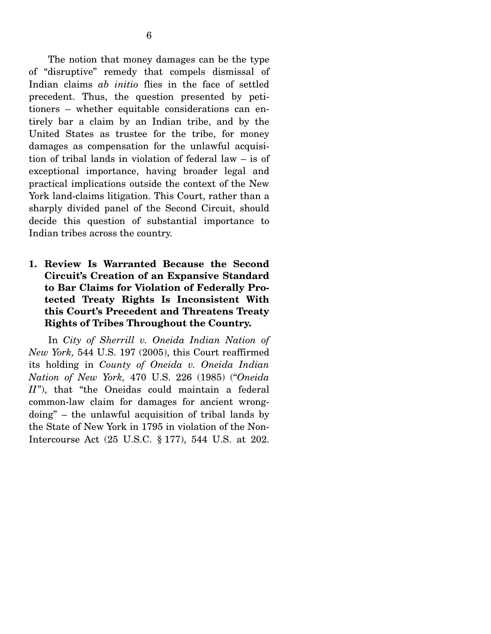The notion that money damages can be the type of "disruptive" remedy that compels dismissal of Indian claims *ab initio* flies in the face of settled precedent. Thus, the question presented by petitioners – whether equitable considerations can entirely bar a claim by an Indian tribe, and by the United States as trustee for the tribe, for money damages as compensation for the unlawful acquisition of tribal lands in violation of federal law – is of exceptional importance, having broader legal and practical implications outside the context of the New York land-claims litigation. This Court, rather than a sharply divided panel of the Second Circuit, should decide this question of substantial importance to Indian tribes across the country.

**1. Review Is Warranted Because the Second Circuit's Creation of an Expansive Standard to Bar Claims for Violation of Federally Protected Treaty Rights Is Inconsistent With this Court's Precedent and Threatens Treaty Rights of Tribes Throughout the Country.** 

 In *City of Sherrill v. Oneida Indian Nation of New York,* 544 U.S. 197 (2005), this Court reaffirmed its holding in *County of Oneida v. Oneida Indian Nation of New York,* 470 U.S. 226 (1985) ("*Oneida II*"), that "the Oneidas could maintain a federal common-law claim for damages for ancient wrongdoing" – the unlawful acquisition of tribal lands by the State of New York in 1795 in violation of the Non-Intercourse Act (25 U.S.C. § 177), 544 U.S. at 202.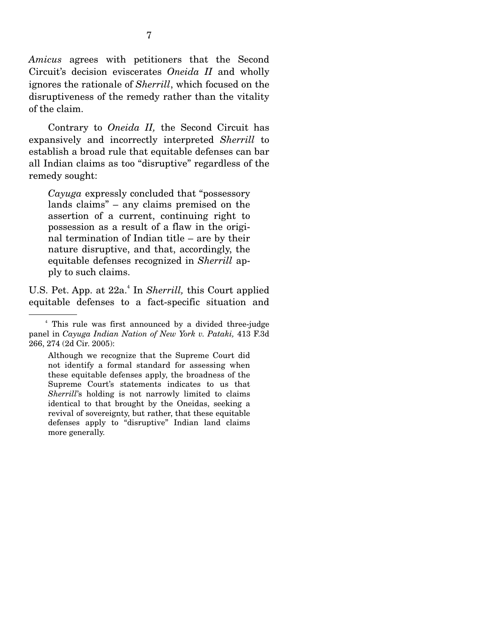*Amicus* agrees with petitioners that the Second Circuit's decision eviscerates *Oneida II* and wholly ignores the rationale of *Sherrill*, which focused on the disruptiveness of the remedy rather than the vitality of the claim.

 Contrary to *Oneida II,* the Second Circuit has expansively and incorrectly interpreted *Sherrill* to establish a broad rule that equitable defenses can bar all Indian claims as too "disruptive" regardless of the remedy sought:

*Cayuga* expressly concluded that "possessory lands claims" – any claims premised on the assertion of a current, continuing right to possession as a result of a flaw in the original termination of Indian title – are by their nature disruptive, and that, accordingly, the equitable defenses recognized in *Sherrill* apply to such claims.

U.S. Pet. App. at 22a.<sup>4</sup> In *Sherrill*, this Court applied equitable defenses to a fact-specific situation and

Although we recognize that the Supreme Court did not identify a formal standard for assessing when these equitable defenses apply, the broadness of the Supreme Court's statements indicates to us that *Sherrill*'s holding is not narrowly limited to claims identical to that brought by the Oneidas, seeking a revival of sovereignty, but rather, that these equitable defenses apply to "disruptive" Indian land claims more generally.

<sup>4</sup> This rule was first announced by a divided three-judge panel in *Cayuga Indian Nation of New York v. Pataki,* 413 F.3d 266, 274 (2d Cir. 2005):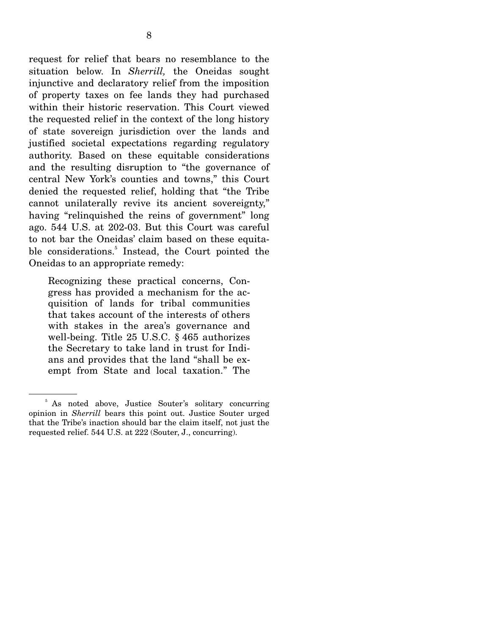request for relief that bears no resemblance to the situation below. In *Sherrill,* the Oneidas sought injunctive and declaratory relief from the imposition of property taxes on fee lands they had purchased within their historic reservation. This Court viewed the requested relief in the context of the long history of state sovereign jurisdiction over the lands and justified societal expectations regarding regulatory authority. Based on these equitable considerations and the resulting disruption to "the governance of central New York's counties and towns," this Court denied the requested relief, holding that "the Tribe cannot unilaterally revive its ancient sovereignty," having "relinquished the reins of government" long ago. 544 U.S. at 202-03. But this Court was careful to not bar the Oneidas' claim based on these equitable considerations.<sup>5</sup> Instead, the Court pointed the Oneidas to an appropriate remedy:

Recognizing these practical concerns, Congress has provided a mechanism for the acquisition of lands for tribal communities that takes account of the interests of others with stakes in the area's governance and well-being. Title 25 U.S.C. § 465 authorizes the Secretary to take land in trust for Indians and provides that the land "shall be exempt from State and local taxation." The

<sup>&</sup>lt;sup>5</sup> As noted above, Justice Souter's solitary concurring opinion in *Sherrill* bears this point out. Justice Souter urged that the Tribe's inaction should bar the claim itself, not just the requested relief. 544 U.S. at 222 (Souter, J., concurring).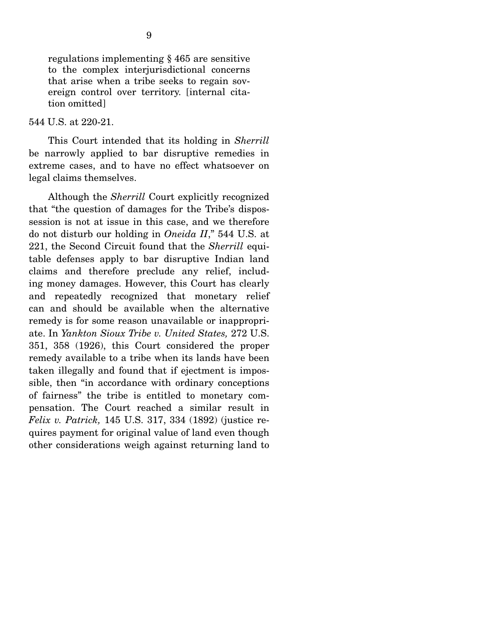regulations implementing § 465 are sensitive to the complex interjurisdictional concerns that arise when a tribe seeks to regain sovereign control over territory. [internal citation omitted]

#### 544 U.S. at 220-21.

 This Court intended that its holding in *Sherrill* be narrowly applied to bar disruptive remedies in extreme cases, and to have no effect whatsoever on legal claims themselves.

 Although the *Sherrill* Court explicitly recognized that "the question of damages for the Tribe's dispossession is not at issue in this case, and we therefore do not disturb our holding in *Oneida II*," 544 U.S. at 221, the Second Circuit found that the *Sherrill* equitable defenses apply to bar disruptive Indian land claims and therefore preclude any relief, including money damages. However, this Court has clearly and repeatedly recognized that monetary relief can and should be available when the alternative remedy is for some reason unavailable or inappropriate. In *Yankton Sioux Tribe v. United States,* 272 U.S. 351, 358 (1926), this Court considered the proper remedy available to a tribe when its lands have been taken illegally and found that if ejectment is impossible, then "in accordance with ordinary conceptions of fairness" the tribe is entitled to monetary compensation. The Court reached a similar result in *Felix v. Patrick,* 145 U.S. 317, 334 (1892) (justice requires payment for original value of land even though other considerations weigh against returning land to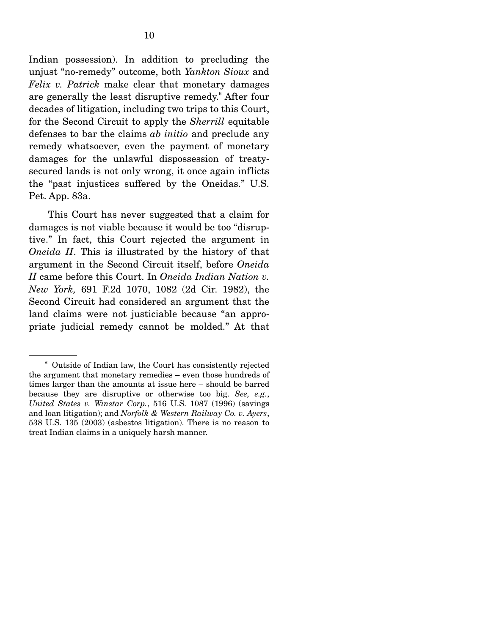Indian possession). In addition to precluding the unjust "no-remedy" outcome, both *Yankton Sioux* and *Felix v. Patrick* make clear that monetary damages are generally the least disruptive remedy.<sup>6</sup> After four decades of litigation, including two trips to this Court, for the Second Circuit to apply the *Sherrill* equitable defenses to bar the claims *ab initio* and preclude any remedy whatsoever, even the payment of monetary damages for the unlawful dispossession of treatysecured lands is not only wrong, it once again inflicts the "past injustices suffered by the Oneidas." U.S. Pet. App. 83a.

 This Court has never suggested that a claim for damages is not viable because it would be too "disruptive." In fact, this Court rejected the argument in *Oneida II*. This is illustrated by the history of that argument in the Second Circuit itself, before *Oneida II* came before this Court. In *Oneida Indian Nation v. New York,* 691 F.2d 1070, 1082 (2d Cir. 1982), the Second Circuit had considered an argument that the land claims were not justiciable because "an appropriate judicial remedy cannot be molded." At that

<sup>6</sup> Outside of Indian law, the Court has consistently rejected the argument that monetary remedies – even those hundreds of times larger than the amounts at issue here – should be barred because they are disruptive or otherwise too big. *See, e.g.*, *United States v. Winstar Corp.*, 516 U.S. 1087 (1996) (savings and loan litigation); and *Norfolk & Western Railway Co. v. Ayers*, 538 U.S. 135 (2003) (asbestos litigation). There is no reason to treat Indian claims in a uniquely harsh manner.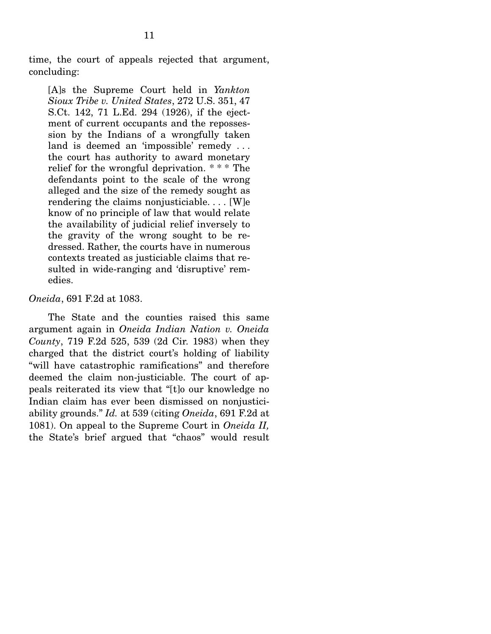time, the court of appeals rejected that argument, concluding:

[A]s the Supreme Court held in *Yankton Sioux Tribe v. United States*, 272 U.S. 351, 47 S.Ct. 142, 71 L.Ed. 294 (1926), if the ejectment of current occupants and the repossession by the Indians of a wrongfully taken land is deemed an 'impossible' remedy . . . the court has authority to award monetary relief for the wrongful deprivation. \* \* \* The defendants point to the scale of the wrong alleged and the size of the remedy sought as rendering the claims nonjusticiable. . . . [W]e know of no principle of law that would relate the availability of judicial relief inversely to the gravity of the wrong sought to be redressed. Rather, the courts have in numerous contexts treated as justiciable claims that resulted in wide-ranging and 'disruptive' remedies.

#### *Oneida*, 691 F.2d at 1083.

 The State and the counties raised this same argument again in *Oneida Indian Nation v. Oneida County*, 719 F.2d 525, 539 (2d Cir. 1983) when they charged that the district court's holding of liability "will have catastrophic ramifications" and therefore deemed the claim non-justiciable. The court of appeals reiterated its view that "[t]o our knowledge no Indian claim has ever been dismissed on nonjusticiability grounds." *Id.* at 539 (citing *Oneida*, 691 F.2d at 1081). On appeal to the Supreme Court in *Oneida II,*  the State's brief argued that "chaos" would result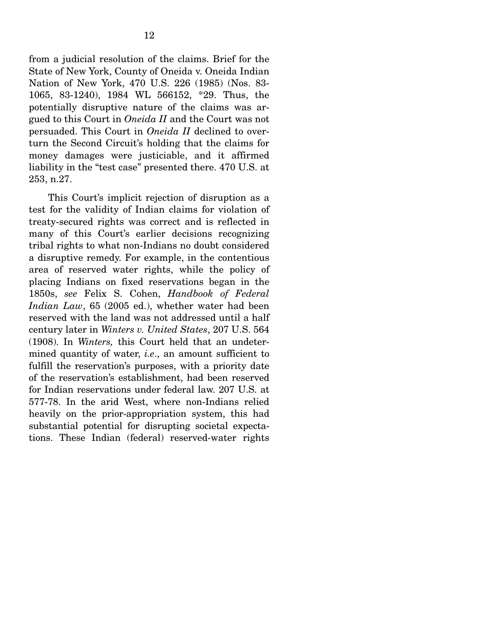from a judicial resolution of the claims. Brief for the State of New York, County of Oneida v. Oneida Indian Nation of New York, 470 U.S. 226 (1985) (Nos. 83- 1065, 83-1240), 1984 WL 566152, \*29. Thus, the potentially disruptive nature of the claims was argued to this Court in *Oneida II* and the Court was not persuaded. This Court in *Oneida II* declined to overturn the Second Circuit's holding that the claims for money damages were justiciable, and it affirmed liability in the "test case" presented there. 470 U.S. at 253, n.27.

 This Court's implicit rejection of disruption as a test for the validity of Indian claims for violation of treaty-secured rights was correct and is reflected in many of this Court's earlier decisions recognizing tribal rights to what non-Indians no doubt considered a disruptive remedy. For example, in the contentious area of reserved water rights, while the policy of placing Indians on fixed reservations began in the 1850s, *see* Felix S. Cohen, *Handbook of Federal Indian Law*, 65 (2005 ed.), whether water had been reserved with the land was not addressed until a half century later in *Winters v. United States*, 207 U.S. 564 (1908). In *Winters,* this Court held that an undetermined quantity of water, *i.e*., an amount sufficient to fulfill the reservation's purposes, with a priority date of the reservation's establishment, had been reserved for Indian reservations under federal law. 207 U.S. at 577-78. In the arid West, where non-Indians relied heavily on the prior-appropriation system, this had substantial potential for disrupting societal expectations. These Indian (federal) reserved-water rights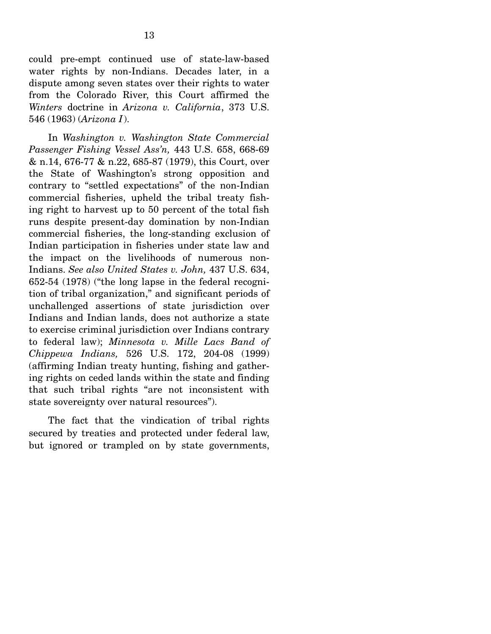could pre-empt continued use of state-law-based water rights by non-Indians. Decades later, in a dispute among seven states over their rights to water from the Colorado River, this Court affirmed the *Winters* doctrine in *Arizona v. California*, 373 U.S. 546 (1963) (*Arizona I*).

 In *Washington v. Washington State Commercial Passenger Fishing Vessel Ass'n,* 443 U.S. 658, 668-69 & n.14, 676-77 & n.22, 685-87 (1979), this Court, over the State of Washington's strong opposition and contrary to "settled expectations" of the non-Indian commercial fisheries, upheld the tribal treaty fishing right to harvest up to 50 percent of the total fish runs despite present-day domination by non-Indian commercial fisheries, the long-standing exclusion of Indian participation in fisheries under state law and the impact on the livelihoods of numerous non-Indians. *See also United States v. John,* 437 U.S. 634, 652-54 (1978) ("the long lapse in the federal recognition of tribal organization," and significant periods of unchallenged assertions of state jurisdiction over Indians and Indian lands, does not authorize a state to exercise criminal jurisdiction over Indians contrary to federal law); *Minnesota v. Mille Lacs Band of Chippewa Indians,* 526 U.S. 172, 204-08 (1999) (affirming Indian treaty hunting, fishing and gathering rights on ceded lands within the state and finding that such tribal rights "are not inconsistent with state sovereignty over natural resources").

 The fact that the vindication of tribal rights secured by treaties and protected under federal law, but ignored or trampled on by state governments,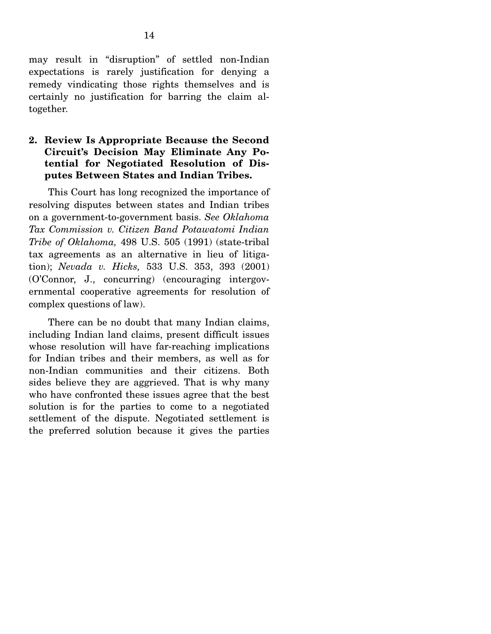may result in "disruption" of settled non-Indian expectations is rarely justification for denying a remedy vindicating those rights themselves and is certainly no justification for barring the claim altogether.

### **2. Review Is Appropriate Because the Second Circuit's Decision May Eliminate Any Potential for Negotiated Resolution of Disputes Between States and Indian Tribes.**

 This Court has long recognized the importance of resolving disputes between states and Indian tribes on a government-to-government basis. *See Oklahoma Tax Commission v. Citizen Band Potawatomi Indian Tribe of Oklahoma,* 498 U.S. 505 (1991) (state-tribal tax agreements as an alternative in lieu of litigation); *Nevada v. Hicks,* 533 U.S. 353, 393 (2001) (O'Connor, J., concurring) (encouraging intergovernmental cooperative agreements for resolution of complex questions of law).

 There can be no doubt that many Indian claims, including Indian land claims, present difficult issues whose resolution will have far-reaching implications for Indian tribes and their members, as well as for non-Indian communities and their citizens. Both sides believe they are aggrieved. That is why many who have confronted these issues agree that the best solution is for the parties to come to a negotiated settlement of the dispute. Negotiated settlement is the preferred solution because it gives the parties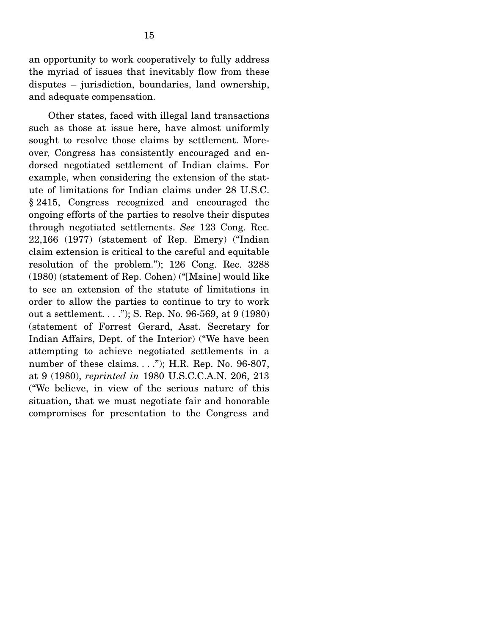an opportunity to work cooperatively to fully address the myriad of issues that inevitably flow from these disputes – jurisdiction, boundaries, land ownership, and adequate compensation.

 Other states, faced with illegal land transactions such as those at issue here, have almost uniformly sought to resolve those claims by settlement. Moreover, Congress has consistently encouraged and endorsed negotiated settlement of Indian claims. For example, when considering the extension of the statute of limitations for Indian claims under 28 U.S.C. § 2415, Congress recognized and encouraged the ongoing efforts of the parties to resolve their disputes through negotiated settlements. *See* 123 Cong. Rec. 22,166 (1977) (statement of Rep. Emery) ("Indian claim extension is critical to the careful and equitable resolution of the problem."); 126 Cong. Rec. 3288 (1980) (statement of Rep. Cohen) ("[Maine] would like to see an extension of the statute of limitations in order to allow the parties to continue to try to work out a settlement. . . ."); S. Rep. No. 96-569, at 9 (1980) (statement of Forrest Gerard, Asst. Secretary for Indian Affairs, Dept. of the Interior) ("We have been attempting to achieve negotiated settlements in a number of these claims. . . ."); H.R. Rep. No. 96-807, at 9 (1980), *reprinted in* 1980 U.S.C.C.A.N. 206, 213 ("We believe, in view of the serious nature of this situation, that we must negotiate fair and honorable compromises for presentation to the Congress and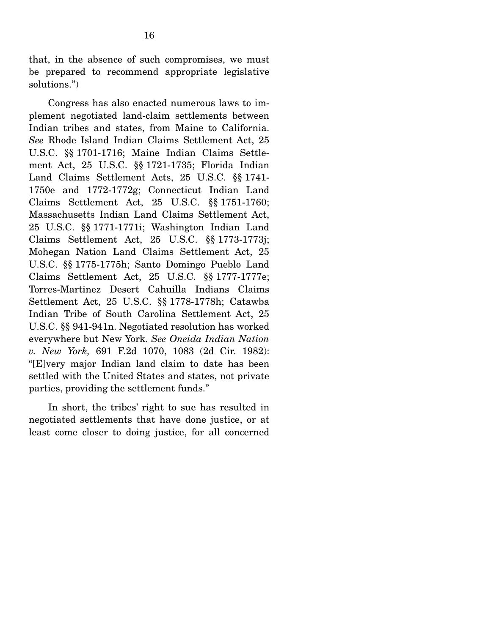that, in the absence of such compromises, we must be prepared to recommend appropriate legislative solutions.")

 Congress has also enacted numerous laws to implement negotiated land-claim settlements between Indian tribes and states, from Maine to California. *See* Rhode Island Indian Claims Settlement Act, 25 U.S.C. §§ 1701-1716; Maine Indian Claims Settlement Act, 25 U.S.C. §§ 1721-1735; Florida Indian Land Claims Settlement Acts, 25 U.S.C. §§ 1741- 1750e and 1772-1772g; Connecticut Indian Land Claims Settlement Act, 25 U.S.C. §§ 1751-1760; Massachusetts Indian Land Claims Settlement Act, 25 U.S.C. §§ 1771-1771i; Washington Indian Land Claims Settlement Act, 25 U.S.C. §§ 1773-1773j; Mohegan Nation Land Claims Settlement Act, 25 U.S.C. §§ 1775-1775h; Santo Domingo Pueblo Land Claims Settlement Act, 25 U.S.C. §§ 1777-1777e; Torres-Martinez Desert Cahuilla Indians Claims Settlement Act, 25 U.S.C. §§ 1778-1778h; Catawba Indian Tribe of South Carolina Settlement Act, 25 U.S.C. §§ 941-941n. Negotiated resolution has worked everywhere but New York. *See Oneida Indian Nation v. New York,* 691 F.2d 1070, 1083 (2d Cir. 1982): "[E]very major Indian land claim to date has been settled with the United States and states, not private parties, providing the settlement funds."

 In short, the tribes' right to sue has resulted in negotiated settlements that have done justice, or at least come closer to doing justice, for all concerned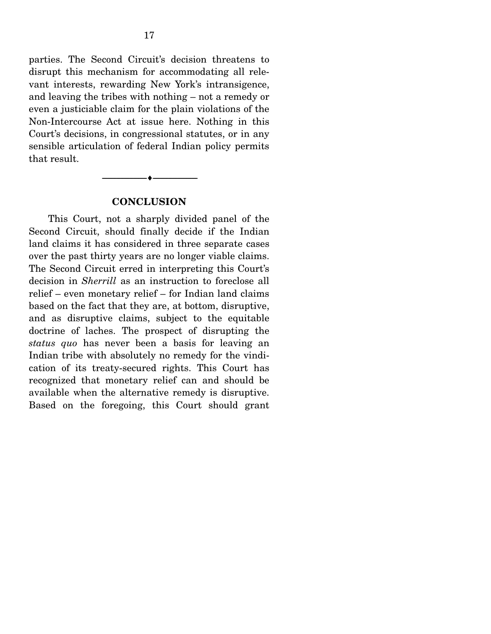parties. The Second Circuit's decision threatens to disrupt this mechanism for accommodating all relevant interests, rewarding New York's intransigence, and leaving the tribes with nothing – not a remedy or even a justiciable claim for the plain violations of the Non-Intercourse Act at issue here. Nothing in this Court's decisions, in congressional statutes, or in any sensible articulation of federal Indian policy permits that result.

#### **CONCLUSION**

 $\overbrace{\hspace{2.5cm}}$   $\overbrace{\hspace{2.5cm}}$ 

 This Court, not a sharply divided panel of the Second Circuit, should finally decide if the Indian land claims it has considered in three separate cases over the past thirty years are no longer viable claims. The Second Circuit erred in interpreting this Court's decision in *Sherrill* as an instruction to foreclose all relief – even monetary relief – for Indian land claims based on the fact that they are, at bottom, disruptive, and as disruptive claims, subject to the equitable doctrine of laches. The prospect of disrupting the *status quo* has never been a basis for leaving an Indian tribe with absolutely no remedy for the vindication of its treaty-secured rights. This Court has recognized that monetary relief can and should be available when the alternative remedy is disruptive. Based on the foregoing, this Court should grant